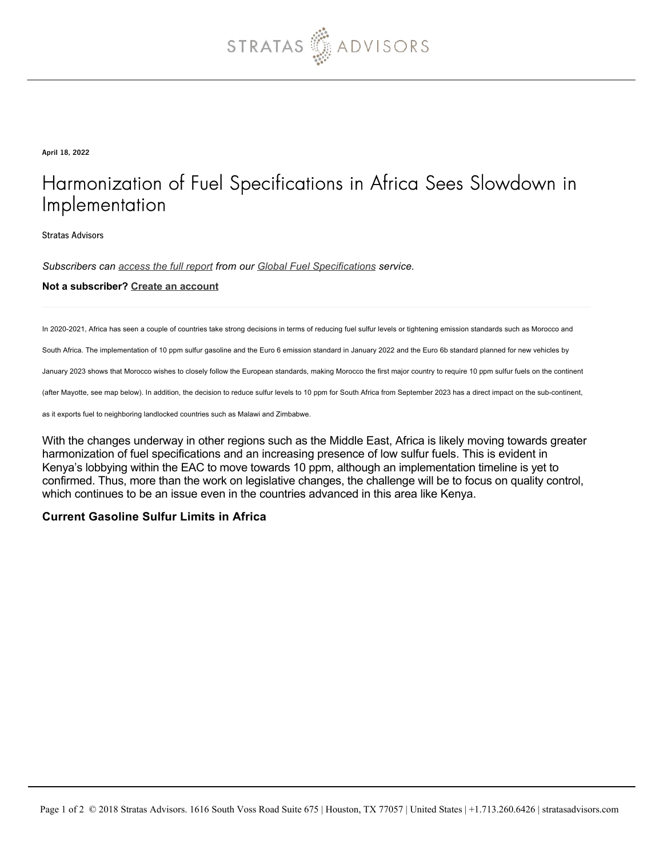

April 18, 2022

## Harmonization of Fuel Specifications in Africa Sees Slowdown in Implementation

Stratas Advisors

*Subscribers can [access the full report](https://stratasadvisors.com/Member/Analysis/Fuel-and-Transportation/2022/04192022-Africa-Fuel-Quality) from our [Global Fuel Specifications](https://stratasadvisors.com/Services/Global-Fuel-Specifications) service.*

## **Not a subscriber? [Create an account](https://stratasadvisors.com/Register)**

In 2020-2021, Africa has seen a couple of countries take strong decisions in terms of reducing fuel sulfur levels or tightening emission standards such as Morocco and

South Africa. The implementation of 10 ppm sulfur gasoline and the Euro 6 emission standard in January 2022 and the Euro 6b standard planned for new vehicles by

January 2023 shows that Morocco wishes to closely follow the European standards, making Morocco the first major country to require 10 ppm sulfur fuels on the continent

(after Mayotte, see map below). In addition, the decision to reduce sulfur levels to 10 ppm for South Africa from September 2023 has a direct impact on the sub-continent,

as it exports fuel to neighboring landlocked countries such as Malawi and Zimbabwe.

With the changes underway in other regions such as the Middle East, Africa is likely moving towards greater harmonization of fuel specifications and an increasing presence of low sulfur fuels. This is evident in Kenya's lobbying within the EAC to move towards 10 ppm, although an implementation timeline is yet to confirmed. Thus, more than the work on legislative changes, the challenge will be to focus on quality control, which continues to be an issue even in the countries advanced in this area like Kenya.

## **Current Gasoline Sulfur Limits in Africa**